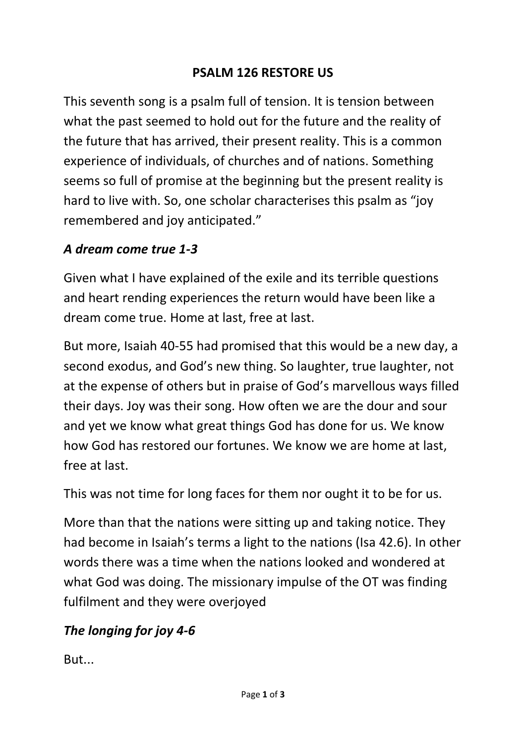#### **PSALM 126 RESTORE US**

This seventh song is a psalm full of tension. It is tension between what the past seemed to hold out for the future and the reality of the future that has arrived, their present reality. This is a common experience of individuals, of churches and of nations. Something seems so full of promise at the beginning but the present reality is hard to live with. So, one scholar characterises this psalm as "joy remembered and joy anticipated."

#### *A dream come true 1-3*

Given what I have explained of the exile and its terrible questions and heart rending experiences the return would have been like a dream come true. Home at last, free at last.

But more, Isaiah 40-55 had promised that this would be a new day, a second exodus, and God's new thing. So laughter, true laughter, not at the expense of others but in praise of God's marvellous ways filled their days. Joy was their song. How often we are the dour and sour and yet we know what great things God has done for us. We know how God has restored our fortunes. We know we are home at last, free at last.

This was not time for long faces for them nor ought it to be for us.

More than that the nations were sitting up and taking notice. They had become in Isaiah's terms a light to the nations (Isa 42.6). In other words there was a time when the nations looked and wondered at what God was doing. The missionary impulse of the OT was finding fulfilment and they were overjoyed

## *The longing for joy 4-6*

But...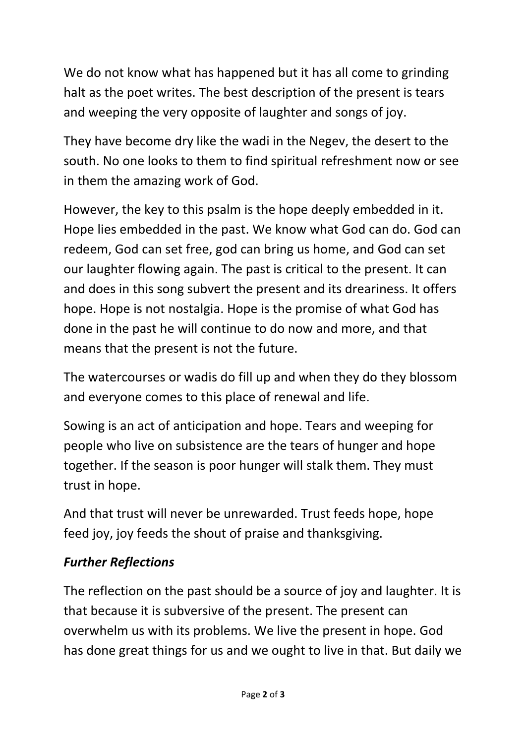We do not know what has happened but it has all come to grinding halt as the poet writes. The best description of the present is tears and weeping the very opposite of laughter and songs of joy.

They have become dry like the wadi in the Negev, the desert to the south. No one looks to them to find spiritual refreshment now or see in them the amazing work of God.

However, the key to this psalm is the hope deeply embedded in it. Hope lies embedded in the past. We know what God can do. God can redeem, God can set free, god can bring us home, and God can set our laughter flowing again. The past is critical to the present. It can and does in this song subvert the present and its dreariness. It offers hope. Hope is not nostalgia. Hope is the promise of what God has done in the past he will continue to do now and more, and that means that the present is not the future.

The watercourses or wadis do fill up and when they do they blossom and everyone comes to this place of renewal and life.

Sowing is an act of anticipation and hope. Tears and weeping for people who live on subsistence are the tears of hunger and hope together. If the season is poor hunger will stalk them. They must trust in hope.

And that trust will never be unrewarded. Trust feeds hope, hope feed joy, joy feeds the shout of praise and thanksgiving.

## *Further Reflections*

The reflection on the past should be a source of joy and laughter. It is that because it is subversive of the present. The present can overwhelm us with its problems. We live the present in hope. God has done great things for us and we ought to live in that. But daily we